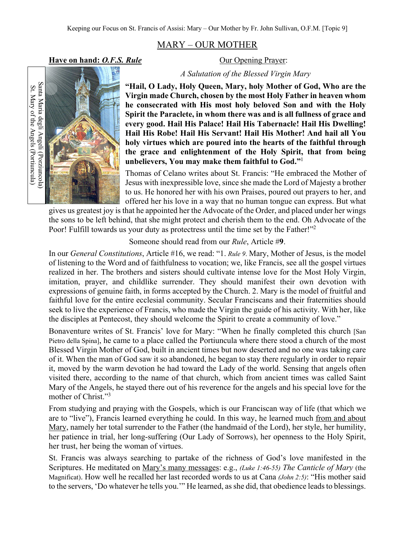## MARY – OUR MOTHER

**Have on hand:** *O.F.S. Rule* Our Opening Prayer:



*A Salutation of the Blessed Virgin Mary*

**"Hail, O Lady, Holy Queen, Mary, holy Mother of God, Who are the Virgin made Church, chosen by the most Holy Father in heaven whom he consecrated with His most holy beloved Son and with the Holy Spirit the Paraclete, in whom there was and is all fullness of grace and every good. Hail His Palace! Hail His Tabernacle! Hail His Dwelling! Hail His Robe! Hail His Servant! Hail His Mother! And hail all You holy virtues which are poured into the hearts of the faithful through the grace and enlightenment of the Holy Spirit, that from being unbelievers, You may make them faithful to God."**<sup>1</sup>

Thomas of Celano writes about St. Francis: "He embraced the Mother of Jesus with inexpressible love, since she made the Lord of Majesty a brother to us. He honored her with his own Praises, poured out prayers to her, and offered her his love in a way that no human tongue can express. But what

gives us greatest joy is that he appointed her the Advocate of the Order, and placed under her wings the sons to be left behind, that she might protect and cherish them to the end. Oh Advocate of the Poor! Fulfill towards us your duty as protectress until the time set by the Father!"<sup>2</sup>

## Someone should read from our *Rule*, Article #**9**.

In our *General Constitutions*, Article #16, we read: "1. *Rule 9*. Mary, Mother of Jesus, is the model of listening to the Word and of faithfulness to vocation; we, like Francis, see all the gospel virtues realized in her. The brothers and sisters should cultivate intense love for the Most Holy Virgin, imitation, prayer, and childlike surrender. They should manifest their own devotion with expressions of genuine faith, in forms accepted by the Church. 2. Mary is the model of fruitful and faithful love for the entire ecclesial community. Secular Franciscans and their fraternities should seek to live the experience of Francis, who made the Virgin the guide of his activity. With her, like the disciples at Pentecost, they should welcome the Spirit to create a community of love."

Bonaventure writes of St. Francis' love for Mary: "When he finally completed this church [San Pietro della Spina], he came to a place called the Portiuncula where there stood a church of the most Blessed Virgin Mother of God, built in ancient times but now deserted and no one was taking care of it. When the man of God saw it so abandoned, he began to stay there regularly in order to repair it, moved by the warm devotion he had toward the Lady of the world. Sensing that angels often visited there, according to the name of that church, which from ancient times was called Saint Mary of the Angels, he stayed there out of his reverence for the angels and his special love for the mother of Christ."3

From studying and praying with the Gospels, which is our Franciscan way of life (that which we are to "live"), Francis learned everything he could. In this way, he learned much from and about Mary, namely her total surrender to the Father (the handmaid of the Lord), her style, her humility, her patience in trial, her long-suffering (Our Lady of Sorrows), her openness to the Holy Spirit, her trust, her being the woman of virtues.

St. Francis was always searching to partake of the richness of God's love manifested in the Scriptures. He meditated on Mary's many messages: e.g., *(Luke 1:46-55) The Canticle of Mary* (the Magnificat). How well he recalled her last recorded words to us at Cana *(John 2:5)*: "His mother said to the servers, 'Do whatever he tells you.'" He learned, as she did, that obedience leads to blessings.